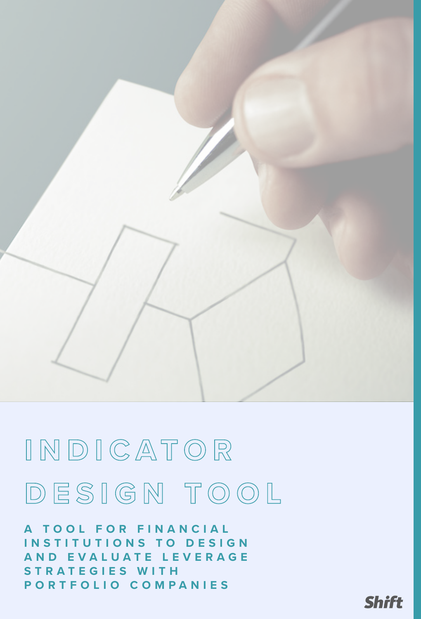

# **I N D I C A T O R DESIGN TOOL**

**A TOOL FOR FINANCIAL INSTITUTIONS TO DESIGN A N D E V A L U A T E L E V E R A G E STRATEGIES WITH PORTFOLIO COMPANIES**

**Shift**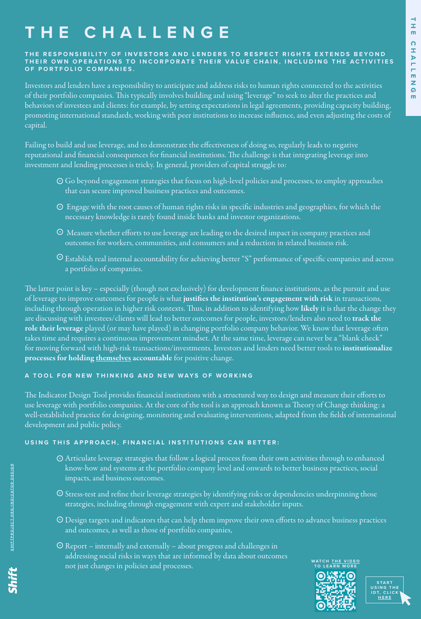### **E CHALLENGE**

#### THE RESPONSIBILITY OF INVESTORS AND LENDERS TO RESPECT RIGHTS EXTENDS BEYOND THEIR OWN OPERATIONS TO INCORPORATE THEIR VALUE CHAIN, INCLUDING THE ACTIVITIES **OF PORTFOLIO COMPANIES.**

Investors and lenders have a responsibility to anticipate and address risks to human rights connected to the activities of their portfolio companies. This typically involves building and using "leverage" to seek to alter the practices and behaviors of investees and clients: for example, by setting expectations in legal agreements, providing capacity building, promoting international standards, working with peer institutions to increase influence, and even adjusting the costs of capital.

Failing to build and use leverage, and to demonstrate the effectiveness of doing so, regularly leads to negative reputational and financial consequences for financial institutions. The challenge is that integrating leverage into investment and lending processes is tricky. In general, providers of capital struggle to:

- Go beyond engagement strategies that focus on high-level policies and processes, to employ approaches that can secure improved business practices and outcomes.
- Engage with the root causes of human rights risks in specific industries and geographies, for which the necessary knowledge is rarely found inside banks and investor organizations.
- Measure whether efforts to use leverage are leading to the desired impact in company practices and outcomes for workers, communities, and consumers and a reduction in related business risk.
- $\odot$  Establish real internal accountability for achieving better "S" performance of specific companies and across a portfolio of companies.

The latter point is key – especially (though not exclusively) for development finance institutions, as the pursuit and use of leverage to improve outcomes for people is what justifies the institution's engagement with risk in transactions, including through operation in higher risk contexts. Thus, in addition to identifying how likely it is that the change they are discussing with investees/clients will lead to better outcomes for people, investors/lenders also need to track the role their leverage played (or may have played) in changing portfolio company behavior. We know that leverage often takes time and requires a continuous improvement mindset. At the same time, leverage can never be a "blank check" for moving forward with high-risk transactions/investments. Investors and lenders need better tools to institutionalize processes for holding themselves accountable for positive change.

### **A TOOL FOR NEW THINKING AND NEW WAYS OF WORKING**

The Indicator Design Tool provides financial institutions with a structured way to design and measure their efforts to use leverage with portfolio companies. At the core of the tool is an approach known as Theory of Change thinking: a well-established practice for designing, monitoring and evaluating interventions, adapted from the fields of international development and public policy.

### **USING THIS APPROACH, FINANCIAL INSTITUTIONS CAN BETTER:**

- Articulate leverage strategies that follow a logical process from their own activities through to enhanced know-how and systems at the portfolio company level and onwards to better business practices, social impacts, and business outcomes.
- Stress-test and refine their leverage strategies by identifying risks or dependencies underpinning those strategies, including through engagement with expert and stakeholder inputs.
- Design targets and indicators that can help them improve their own efforts to advance business practices and outcomes, as well as those of portfolio companies,
- Report internally and externally about progress and challenges in addressing social risks in ways that are informed by data about outcomes not just changes in policies and processes.

**WATCH <u>THE VIDEO</u><br>TO LEARN MORE** 



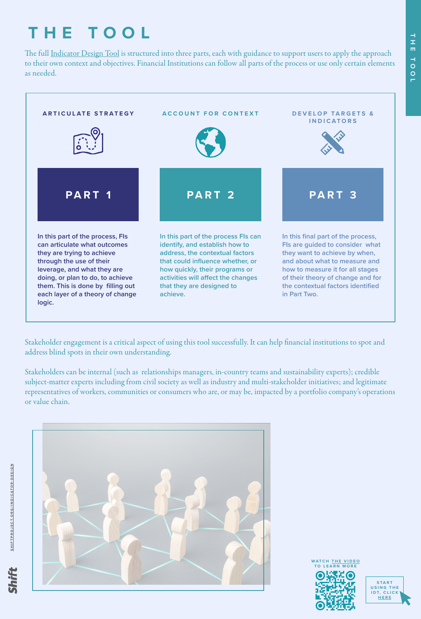## **THE TOOL**

The full [Indicator Design Tool](https://shiftproject.org/resource/indicator-design/indicator-design-tool/) is structured into three parts, each with guidance to support users to apply the approach to their own context and objectives. Financial Institutions can follow all parts of the process or use only certain elements as needed.



Stakeholder engagement is a critical aspect of using this tool successfully. It can help financial institutions to spot and address blind spots in their own understanding.

Stakeholders can be internal (such as relationships managers, in-country teams and sustainability experts); credible subject-matter experts including from civil society as well as industry and multi-stakeholder initiatives; and legitimate representatives of workers, communities or consumers who are, or may be, impacted by a portfolio company's operations or value chain.





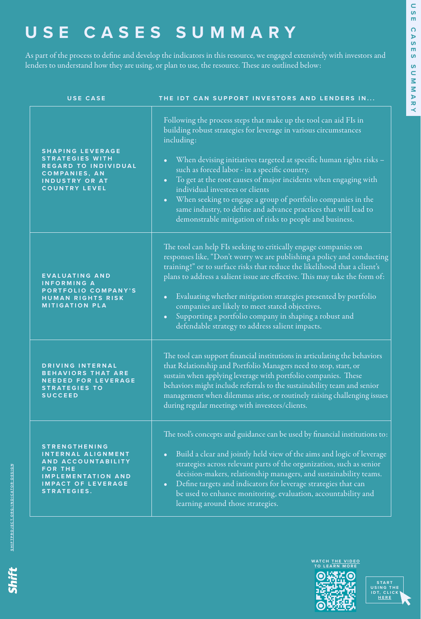### **USE CASES SUMMARY**

As part of the process to define and develop the indicators in this resource, we engaged extensively with investors and lenders to understand how they are using, or plan to use, the resource. These are outlined below:

| <b>USE CASE</b>                                                                                                                                                    | THE IDT CAN SUPPORT INVESTORS AND LENDERS IN                                                                                                                                                                                                                                                                                                                                                                                                                                                                                                                                                                            |
|--------------------------------------------------------------------------------------------------------------------------------------------------------------------|-------------------------------------------------------------------------------------------------------------------------------------------------------------------------------------------------------------------------------------------------------------------------------------------------------------------------------------------------------------------------------------------------------------------------------------------------------------------------------------------------------------------------------------------------------------------------------------------------------------------------|
| <b>SHAPING LEVERAGE</b><br><b>STRATEGIES WITH</b><br>REGARD TO INDIVIDUAL<br><b>COMPANIES, AN</b><br><b>INDUSTRY OR AT</b><br><b>COUNTRY LEVEL</b>                 | Following the process steps that make up the tool can aid FIs in<br>building robust strategies for leverage in various circumstances<br>including:<br>When devising initiatives targeted at specific human rights risks -<br>$\bullet$<br>such as forced labor - in a specific country.<br>To get at the root causes of major incidents when engaging with<br>$\bullet$<br>individual investees or clients<br>When seeking to engage a group of portfolio companies in the<br>$\bullet$<br>same industry, to define and advance practices that will lead to<br>demonstrable mitigation of risks to people and business. |
| <b>EVALUATING AND</b><br><b>INFORMING A</b><br>PORTFOLIO COMPANY'S<br><b>HUMAN RIGHTS RISK</b><br><b>MITIGATION PLA</b>                                            | The tool can help FIs seeking to critically engage companies on<br>responses like, "Don't worry we are publishing a policy and conducting<br>training!" or to surface risks that reduce the likelihood that a client's<br>plans to address a salient issue are effective. This may take the form of:<br>Evaluating whether mitigation strategies presented by portfolio<br>$\bullet$<br>companies are likely to meet stated objectives.<br>Supporting a portfolio company in shaping a robust and<br>$\bullet$<br>defendable strategy to address salient impacts.                                                       |
| DRIVING INTERNAL<br><b>BEHAVIORS THAT ARE</b><br><b>NEEDED FOR LEVERAGE</b><br><b>STRATEGIES TO</b><br><b>SUCCEED</b>                                              | The tool can support financial institutions in articulating the behaviors<br>that Relationship and Portfolio Managers need to stop, start, or<br>sustain when applying leverage with portfolio companies. These<br>behaviors might include referrals to the sustainability team and senior<br>management when dilemmas arise, or routinely raising challenging issues<br>during regular meetings with investees/clients.                                                                                                                                                                                                |
| <b>STRENGTHENING</b><br>INTERNAL ALIGNMENT<br>AND ACCOUNTABILITY<br><b>FOR THE</b><br><b>IMPLEMENTATION AND</b><br><b>IMPACT OF LEVERAGE</b><br><b>STRATEGIES.</b> | The tool's concepts and guidance can be used by financial institutions to:<br>Build a clear and jointly held view of the aims and logic of leverage<br>$\bullet$<br>strategies across relevant parts of the organization, such as senior<br>decision-makers, relationship managers, and sustainability teams.<br>Define targets and indicators for leverage strategies that can<br>$\bullet$<br>be used to enhance monitoring, evaluation, accountability and<br>learning around those strategies.                                                                                                                      |





Shift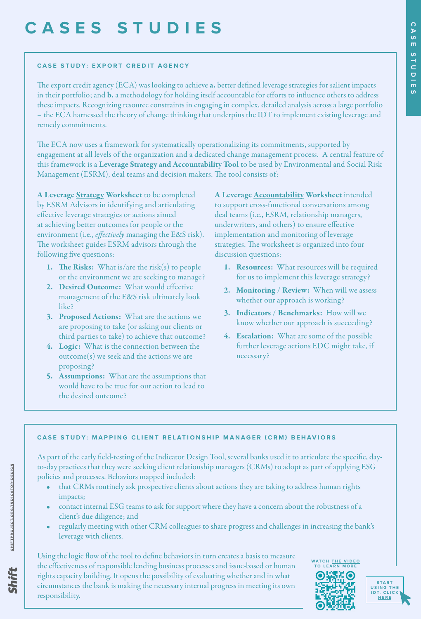### **CASES STUDIES**

#### **CASE STUDY: EXPORT CREDIT AGENCY**

The export credit agency (ECA) was looking to achieve a. better defined leverage strategies for salient impacts in their portfolio; and b. a methodology for holding itself accountable for efforts to influence others to address these impacts. Recognizing resource constraints in engaging in complex, detailed analysis across a large portfolio – the ECA harnessed the theory of change thinking that underpins the IDT to implement existing leverage and remedy commitments.

The ECA now uses a framework for systematically operationalizing its commitments, supported by engagement at all levels of the organization and a dedicated change management process. A central feature of this framework is a Leverage Strategy and Accountability Tool to be used by Environmental and Social Risk Management (ESRM), deal teams and decision makers. The tool consists of:

A Leverage **Strategy Worksheet** to be completed by ESRM Advisors in identifying and articulating effective leverage strategies or actions aimed at achieving better outcomes for people or the environment (i.e., *effectively* managing the E&S risk). The worksheet guides ESRM advisors through the following five questions:

- 1. The Risks: What is/are the risk $(s)$  to people or the environment we are seeking to manage?
- 2. Desired Outcome: What would effective management of the E&S risk ultimately look like?
- 3. Proposed Actions: What are the actions we are proposing to take (or asking our clients or third parties to take) to achieve that outcome?
- 4. Logic: What is the connection between the outcome(s) we seek and the actions we are proposing?
- 5. Assumptions: What are the assumptions that would have to be true for our action to lead to the desired outcome?

A Leverage **Accountability Worksheet** intended to support cross-functional conversations among deal teams (i.e., ESRM, relationship managers, underwriters, and others) to ensure effective implementation and monitoring of leverage strategies. The worksheet is organized into four discussion questions:

- 1. Resources: What resources will be required for us to implement this leverage strategy?
- 2. Monitoring / Review: When will we assess whether our approach is working?
- 3. Indicators / Benchmarks: How will we know whether our approach is succeeding?
- 4. Escalation: What are some of the possible further leverage actions EDC might take, if necessary?

#### **CASE STUDY: MAPPING CLIENT RELATIONSHIP MANAGER (CRM) BEHAVIORS**

As part of the early field-testing of the Indicator Design Tool, several banks used it to articulate the specific, dayto-day practices that they were seeking client relationship managers (CRMs) to adopt as part of applying ESG policies and processes. Behaviors mapped included:

- that CRMs routinely ask prospective clients about actions they are taking to address human rights impacts;
- contact internal ESG teams to ask for support where they have a concern about the robustness of a client's due diligence; and
- regularly meeting with other CRM colleagues to share progress and challenges in increasing the bank's leverage with clients.

Using the logic flow of the tool to define behaviors in turn creates a basis to measure the effectiveness of responsible lending business processes and issue-based or human rights capacity building. It opens the possibility of evaluating whether and in what circumstances the bank is making the necessary internal progress in meeting its own responsibility.